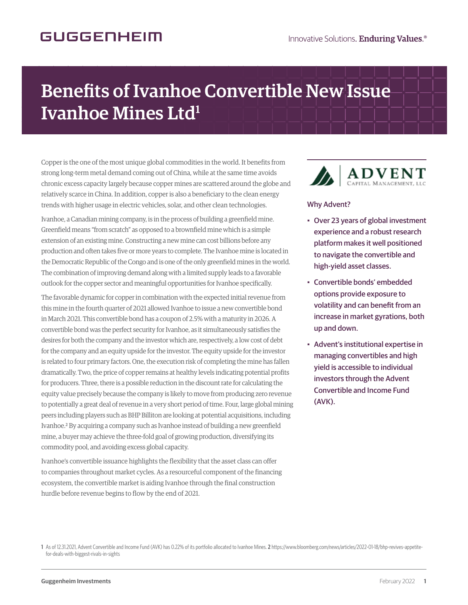## **GUGGENHEIM**

## Benefits of Ivanhoe Convertible New Issue Ivanhoe Mines Ltd<sup>1</sup>

Copper is the one of the most unique global commodities in the world. It benefits from strong long-term metal demand coming out of China, while at the same time avoids chronic excess capacity largely because copper mines are scattered around the globe and relatively scarce in China. In addition, copper is also a beneficiary to the clean energy trends with higher usage in electric vehicles, solar, and other clean technologies.

Ivanhoe, a Canadian mining company, is in the process of building a greenfield mine. Greenfield means "from scratch" as opposed to a brownfield mine which is a simple extension of an existing mine. Constructing a new mine can cost billions before any production and often takes five or more years to complete. The Ivanhoe mine is located in the Democratic Republic of the Congo and is one of the only greenfield mines in the world. The combination of improving demand along with a limited supply leads to a favorable outlook for the copper sector and meaningful opportunities for Ivanhoe specifically.

The favorable dynamic for copper in combination with the expected initial revenue from this mine in the fourth quarter of 2021 allowed Ivanhoe to issue a new convertible bond in March 2021. This convertible bond has a coupon of 2.5% with a maturity in 2026. A convertible bond was the perfect security for Ivanhoe, as it simultaneously satisfies the desires for both the company and the investor which are, respectively, a low cost of debt for the company and an equity upside for the investor. The equity upside for the investor is related to four primary factors. One, the execution risk of completing the mine has fallen dramatically. Two, the price of copper remains at healthy levels indicating potential profits for producers. Three, there is a possible reduction in the discount rate for calculating the equity value precisely because the company is likely to move from producing zero revenue to potentially a great deal of revenue in a very short period of time. Four, large global mining peers including players such as BHP Billiton are looking at potential acquisitions, including Ivanhoe.2 By acquiring a company such as Ivanhoe instead of building a new greenfield mine, a buyer may achieve the three-fold goal of growing production, diversifying its commodity pool, and avoiding excess global capacity.

Ivanhoe's convertible issuance highlights the flexibility that the asset class can offer to companies throughout market cycles. As a resourceful component of the financing ecosystem, the convertible market is aiding Ivanhoe through the final construction hurdle before revenue begins to flow by the end of 2021.



## Why Advent?

- Over 23 years of global investment experience and a robust research platform makes it well positioned to navigate the convertible and high-yield asset classes.
- Convertible bonds' embedded options provide exposure to volatility and can benefit from an increase in market gyrations, both up and down.
- Advent's institutional expertise in managing convertibles and high yield is accessible to individual investors through the Advent Convertible and Income Fund (AVK).

**1** As of 12.31.2021, Advent Convertible and Income Fund (AVK) has 0.22% of its portfolio allocated to Ivanhoe Mines. **2** https://www.bloomberg.com/news/articles/2022-01-18/bhp-revives-appetitefor-deals-with-biggest-rivals-in-sights